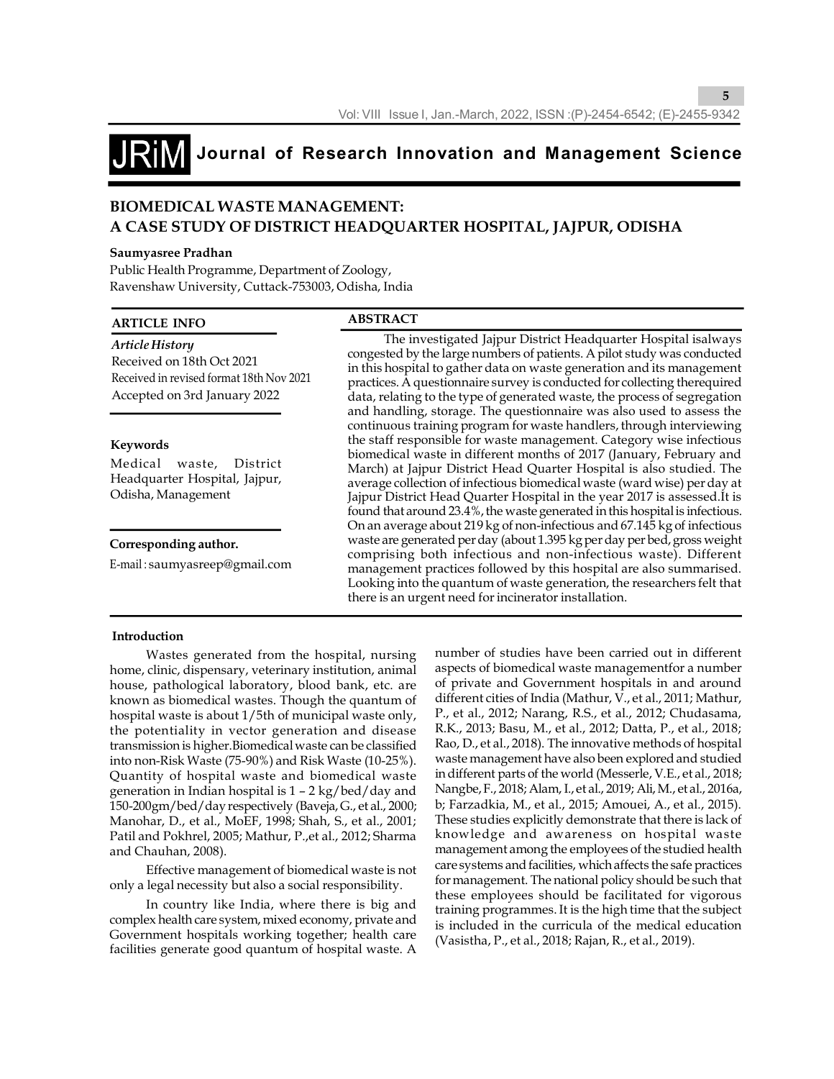**5**

## **Journal of Research Innovation and Management Science**

### **BIOMEDICAL WASTE MANAGEMENT: A CASE STUDY OF DISTRICT HEADQUARTER HOSPITAL, JAJPUR, ODISHA**

#### **Saumyasree Pradhan**

Public Health Programme, Department of Zoology, Ravenshaw University, Cuttack-753003, Odisha, India

#### **ARTICLE INFO**

#### **ABSTRACT**

| Article History                          | The investigated Jajpur District Headquarter Hospital isalways                                                                   |
|------------------------------------------|----------------------------------------------------------------------------------------------------------------------------------|
| Received on 18th Oct 2021                | congested by the large numbers of patients. A pilot study was conducted                                                          |
| Received in revised format 18th Nov 2021 | in this hospital to gather data on waste generation and its management                                                           |
|                                          | practices. A questionnaire survey is conducted for collecting therequired                                                        |
| Accepted on 3rd January 2022             | data, relating to the type of generated waste, the process of segregation                                                        |
|                                          | and handling, storage. The questionnaire was also used to assess the                                                             |
|                                          | continuous training program for waste handlers, through interviewing                                                             |
| Keywords                                 | the staff responsible for waste management. Category wise infectious                                                             |
| Medical waste,<br>District               | biomedical waste in different months of 2017 (January, February and                                                              |
| Headquarter Hospital, Jajpur,            | March) at Jajpur District Head Quarter Hospital is also studied. The                                                             |
|                                          | average collection of infectious biomedical waste (ward wise) per day at                                                         |
| Odisha, Management                       | Jajpur District Head Quarter Hospital in the year 2017 is assessed. It is                                                        |
|                                          | found that around 23.4%, the waste generated in this hospital is infectious.                                                     |
|                                          | On an average about 219 kg of non-infectious and 67.145 kg of infectious                                                         |
| Corresponding author.                    | waste are generated per day (about 1.395 kg per day per bed, gross weight                                                        |
| E-mail:saumyasreep@gmail.com             | comprising both infectious and non-infectious waste). Different                                                                  |
|                                          | management practices followed by this hospital are also summarised.                                                              |
|                                          | Looking into the quantum of waste generation, the researchers felt that<br>there is an urgent need for incinerator installation. |
|                                          |                                                                                                                                  |

#### **Introduction**

Wastes generated from the hospital, nursing home, clinic, dispensary, veterinary institution, animal house, pathological laboratory, blood bank, etc. are known as biomedical wastes. Though the quantum of hospital waste is about 1/5th of municipal waste only, the potentiality in vector generation and disease transmission is higher.Biomedical waste can be classified into non-Risk Waste (75-90%) and Risk Waste (10-25%). Quantity of hospital waste and biomedical waste generation in Indian hospital is 1 – 2 kg/bed/day and 150-200gm/bed/day respectively (Baveja, G., et al., 2000; Manohar, D., et al., MoEF, 1998; Shah, S., et al., 2001; Patil and Pokhrel, 2005; Mathur, P.,et al., 2012; Sharma and Chauhan, 2008).

Effective management of biomedical waste is not only a legal necessity but also a social responsibility.

In country like India, where there is big and complex health care system, mixed economy, private and Government hospitals working together; health care facilities generate good quantum of hospital waste. A number of studies have been carried out in different aspects of biomedical waste managementfor a number of private and Government hospitals in and around different cities of India (Mathur, V., et al., 2011; Mathur, P., et al., 2012; Narang, R.S., et al., 2012; Chudasama, R.K., 2013; Basu, M., et al., 2012; Datta, P., et al., 2018; Rao, D., et al., 2018). The innovative methods of hospital waste management have also been explored and studied in different parts of the world (Messerle, V.E., et al., 2018; Nangbe, F., 2018; Alam, I., et al., 2019; Ali, M., et al., 2016a, b; Farzadkia, M., et al., 2015; Amouei, A., et al., 2015). These studies explicitly demonstrate that there is lack of knowledge and awareness on hospital waste management among the employees of the studied health care systems and facilities, which affects the safe practices for management. The national policy should be such that these employees should be facilitated for vigorous training programmes. It is the high time that the subject is included in the curricula of the medical education (Vasistha, P., et al., 2018; Rajan, R., et al., 2019).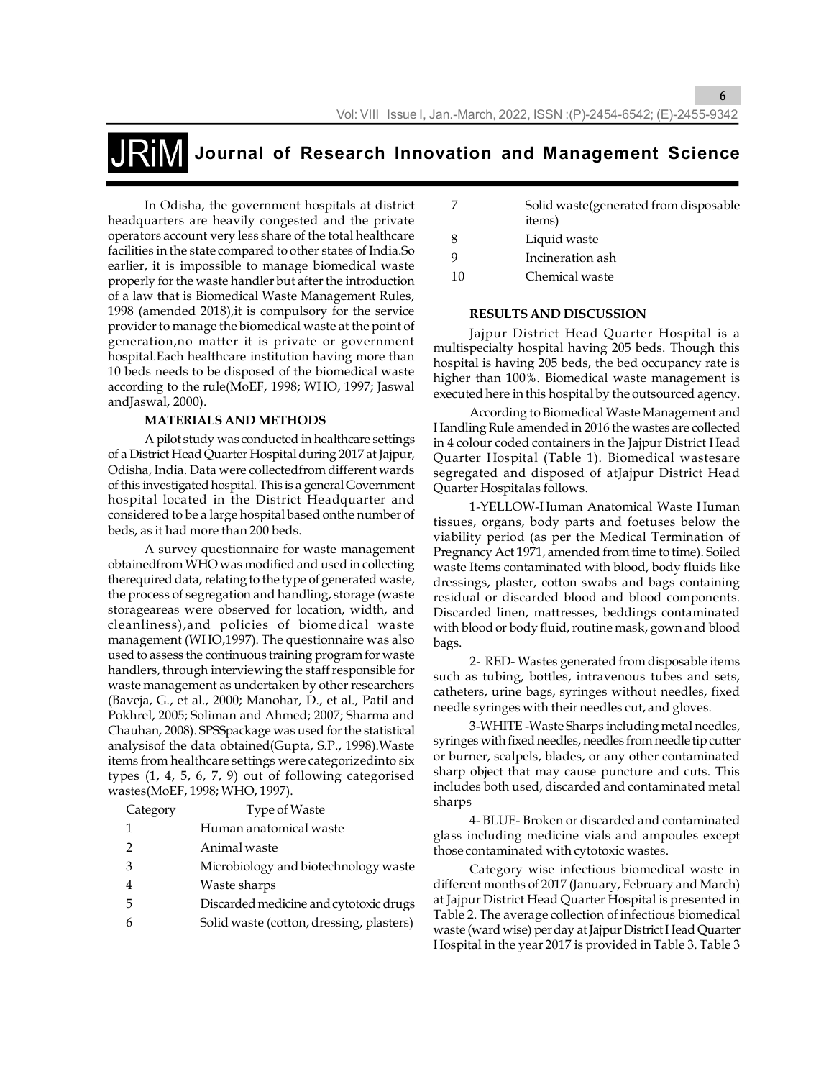In Odisha, the government hospitals at district headquarters are heavily congested and the private operators account very less share of the total healthcare facilities in the state compared to other states of India.So earlier, it is impossible to manage biomedical waste properly for the waste handler but after the introduction of a law that is Biomedical Waste Management Rules, 1998 (amended 2018),it is compulsory for the service provider to manage the biomedical waste at the point of generation,no matter it is private or government hospital.Each healthcare institution having more than 10 beds needs to be disposed of the biomedical waste according to the rule(MoEF, 1998; WHO, 1997; Jaswal andJaswal, 2000).

#### **MATERIALS AND METHODS**

A pilot study was conducted in healthcare settings of a District Head Quarter Hospital during 2017 at Jajpur, Odisha, India. Data were collectedfrom different wards of this investigated hospital. This is a general Government hospital located in the District Headquarter and considered to be a large hospital based onthe number of beds, as it had more than 200 beds.

A survey questionnaire for waste management obtainedfrom WHO was modified and used in collecting therequired data, relating to the type of generated waste, the process of segregation and handling, storage (waste storageareas were observed for location, width, and cleanliness),and policies of biomedical waste management (WHO,1997). The questionnaire was also used to assess the continuous training program for waste handlers, through interviewing the staff responsible for waste management as undertaken by other researchers (Baveja, G., et al., 2000; Manohar, D., et al., Patil and Pokhrel, 2005; Soliman and Ahmed; 2007; Sharma and Chauhan, 2008). SPSSpackage was used for the statistical analysisof the data obtained(Gupta, S.P., 1998).Waste items from healthcare settings were categorizedinto six types (1, 4, 5, 6, 7, 9) out of following categorised wastes(MoEF, 1998; WHO, 1997).

| Category | <b>Type of Waste</b>                     |
|----------|------------------------------------------|
| 1        | Human anatomical waste                   |
| 2        | Animal waste                             |
| 3        | Microbiology and biotechnology waste     |
|          | Waste sharps                             |
| 5        | Discarded medicine and cytotoxic drugs   |
| 6        | Solid waste (cotton, dressing, plasters) |
|          |                                          |

| Solid waste (generated from disposable |
|----------------------------------------|
| items)                                 |
| Liquid waste                           |
|                                        |

**6**

- 9 Incineration ash
- 10 Chemical waste

#### **RESULTS AND DISCUSSION**

Jajpur District Head Quarter Hospital is a multispecialty hospital having 205 beds. Though this hospital is having 205 beds, the bed occupancy rate is higher than 100%. Biomedical waste management is executed here in this hospital by the outsourced agency.

According to Biomedical Waste Management and Handling Rule amended in 2016 the wastes are collected in 4 colour coded containers in the Jajpur District Head Quarter Hospital (Table 1). Biomedical wastesare segregated and disposed of atJajpur District Head Quarter Hospitalas follows.

1-YELLOW-Human Anatomical Waste Human tissues, organs, body parts and foetuses below the viability period (as per the Medical Termination of Pregnancy Act 1971, amended from time to time). Soiled waste Items contaminated with blood, body fluids like dressings, plaster, cotton swabs and bags containing residual or discarded blood and blood components. Discarded linen, mattresses, beddings contaminated with blood or body fluid, routine mask, gown and blood bags.

2- RED- Wastes generated from disposable items such as tubing, bottles, intravenous tubes and sets, catheters, urine bags, syringes without needles, fixed needle syringes with their needles cut, and gloves.

3-WHITE -Waste Sharps including metal needles, syringes with fixed needles, needles from needle tip cutter or burner, scalpels, blades, or any other contaminated sharp object that may cause puncture and cuts. This includes both used, discarded and contaminated metal sharps

4- BLUE- Broken or discarded and contaminated glass including medicine vials and ampoules except those contaminated with cytotoxic wastes.

Category wise infectious biomedical waste in different months of 2017 (January, February and March) at Jajpur District Head Quarter Hospital is presented in Table 2. The average collection of infectious biomedical waste (ward wise) per day at Jajpur District Head Quarter Hospital in the year 2017 is provided in Table 3. Table 3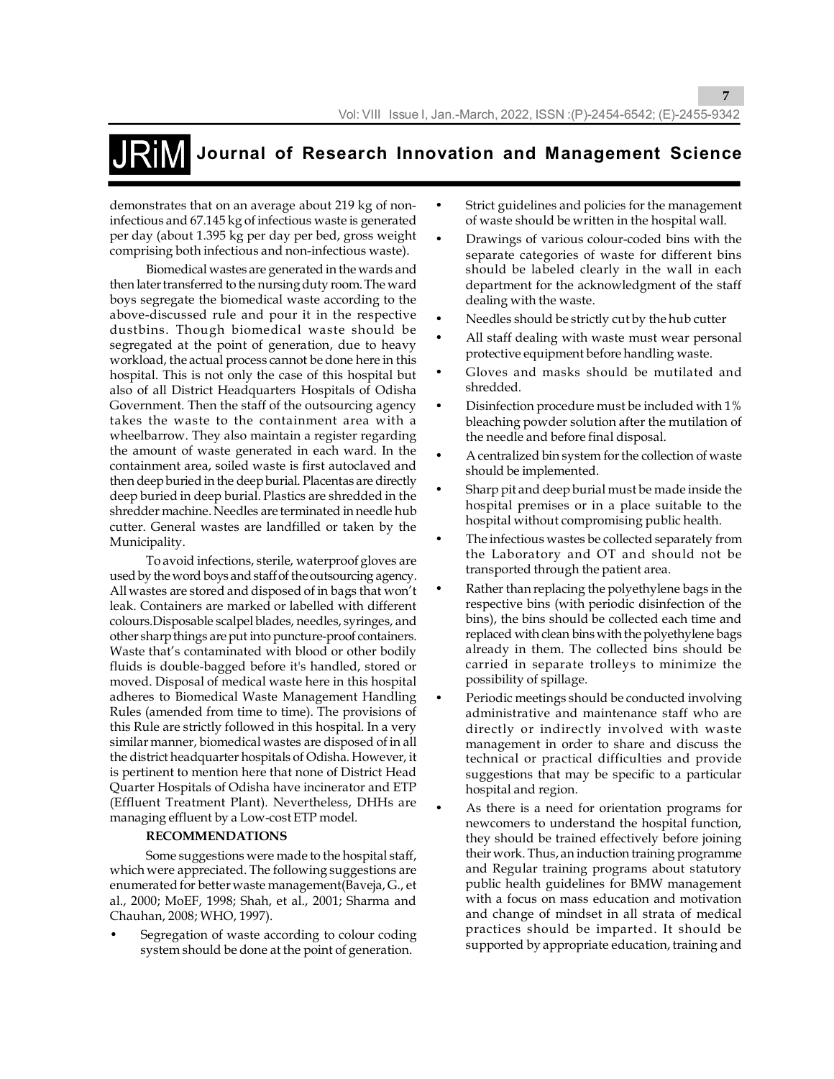demonstrates that on an average about 219 kg of noninfectious and 67.145 kg of infectious waste is generated per day (about 1.395 kg per day per bed, gross weight comprising both infectious and non-infectious waste).

Biomedical wastes are generated in the wards and then later transferred to the nursing duty room. The ward boys segregate the biomedical waste according to the above-discussed rule and pour it in the respective dustbins. Though biomedical waste should be segregated at the point of generation, due to heavy workload, the actual process cannot be done here in this hospital. This is not only the case of this hospital but also of all District Headquarters Hospitals of Odisha Government. Then the staff of the outsourcing agency takes the waste to the containment area with a wheelbarrow. They also maintain a register regarding the amount of waste generated in each ward. In the containment area, soiled waste is first autoclaved and then deep buried in the deep burial. Placentas are directly deep buried in deep burial. Plastics are shredded in the shredder machine. Needles are terminated in needle hub cutter. General wastes are landfilled or taken by the Municipality.

To avoid infections, sterile, waterproof gloves are used by the word boys and staff of the outsourcing agency. All wastes are stored and disposed of in bags that won't leak. Containers are marked or labelled with different colours.Disposable scalpel blades, needles, syringes, and other sharp things are put into puncture-proof containers. Waste that's contaminated with blood or other bodily fluids is double-bagged before it's handled, stored or moved. Disposal of medical waste here in this hospital adheres to Biomedical Waste Management Handling Rules (amended from time to time). The provisions of this Rule are strictly followed in this hospital. In a very similar manner, biomedical wastes are disposed of in all the district headquarter hospitals of Odisha. However, it is pertinent to mention here that none of District Head Quarter Hospitals of Odisha have incinerator and ETP (Effluent Treatment Plant). Nevertheless, DHHs are managing effluent by a Low-cost ETP model.

#### **RECOMMENDATIONS**

Some suggestions were made to the hospital staff, which were appreciated. The following suggestions are enumerated for better waste management(Baveja, G., et al., 2000; MoEF, 1998; Shah, et al., 2001; Sharma and Chauhan, 2008; WHO, 1997).

Segregation of waste according to colour coding system should be done at the point of generation.

Strict guidelines and policies for the management of waste should be written in the hospital wall.

**7**

- Drawings of various colour-coded bins with the separate categories of waste for different bins should be labeled clearly in the wall in each department for the acknowledgment of the staff dealing with the waste.
- Needles should be strictly cut by the hub cutter
- All staff dealing with waste must wear personal protective equipment before handling waste.
- Gloves and masks should be mutilated and shredded.
- Disinfection procedure must be included with 1% bleaching powder solution after the mutilation of the needle and before final disposal.
- A centralized bin system for the collection of waste should be implemented.
- Sharp pit and deep burial must be made inside the hospital premises or in a place suitable to the hospital without compromising public health.
- The infectious wastes be collected separately from the Laboratory and OT and should not be transported through the patient area.
- Rather than replacing the polyethylene bags in the respective bins (with periodic disinfection of the bins), the bins should be collected each time and replaced with clean bins with the polyethylene bags already in them. The collected bins should be carried in separate trolleys to minimize the possibility of spillage.
- Periodic meetings should be conducted involving administrative and maintenance staff who are directly or indirectly involved with waste management in order to share and discuss the technical or practical difficulties and provide suggestions that may be specific to a particular hospital and region.
- As there is a need for orientation programs for newcomers to understand the hospital function, they should be trained effectively before joining their work. Thus, an induction training programme and Regular training programs about statutory public health guidelines for BMW management with a focus on mass education and motivation and change of mindset in all strata of medical practices should be imparted. It should be supported by appropriate education, training and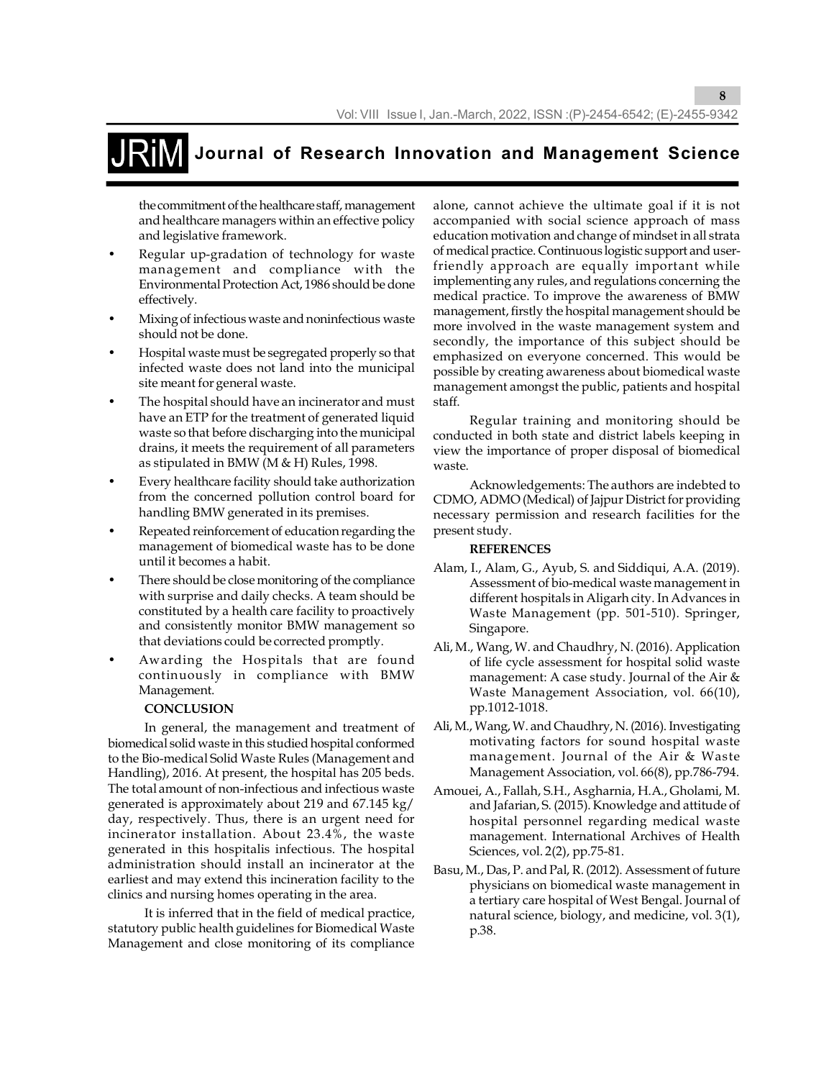the commitment of the healthcare staff, management and healthcare managers within an effective policy and legislative framework.

- Regular up-gradation of technology for waste management and compliance with the Environmental Protection Act, 1986 should be done effectively.
- Mixing of infectious waste and noninfectious waste should not be done.
- Hospital waste must be segregated properly so that infected waste does not land into the municipal site meant for general waste.
- The hospital should have an incinerator and must have an ETP for the treatment of generated liquid waste so that before discharging into the municipal drains, it meets the requirement of all parameters as stipulated in BMW (M & H) Rules, 1998.
- Every healthcare facility should take authorization from the concerned pollution control board for handling BMW generated in its premises.
- Repeated reinforcement of education regarding the management of biomedical waste has to be done until it becomes a habit.
- There should be close monitoring of the compliance with surprise and daily checks. A team should be constituted by a health care facility to proactively and consistently monitor BMW management so that deviations could be corrected promptly.
- Awarding the Hospitals that are found continuously in compliance with BMW Management.

#### **CONCLUSION**

In general, the management and treatment of biomedical solid waste in this studied hospital conformed to the Bio-medical Solid Waste Rules (Management and Handling), 2016. At present, the hospital has 205 beds. The total amount of non-infectious and infectious waste generated is approximately about 219 and 67.145 kg/ day, respectively. Thus, there is an urgent need for incinerator installation. About 23.4%, the waste generated in this hospitalis infectious. The hospital administration should install an incinerator at the earliest and may extend this incineration facility to the clinics and nursing homes operating in the area.

It is inferred that in the field of medical practice, statutory public health guidelines for Biomedical Waste Management and close monitoring of its compliance

alone, cannot achieve the ultimate goal if it is not accompanied with social science approach of mass education motivation and change of mindset in all strata of medical practice. Continuous logistic support and userfriendly approach are equally important while implementing any rules, and regulations concerning the medical practice. To improve the awareness of BMW management, firstly the hospital management should be more involved in the waste management system and secondly, the importance of this subject should be emphasized on everyone concerned. This would be possible by creating awareness about biomedical waste management amongst the public, patients and hospital staff.

**8**

Regular training and monitoring should be conducted in both state and district labels keeping in view the importance of proper disposal of biomedical waste.

Acknowledgements: The authors are indebted to CDMO, ADMO (Medical) of Jajpur District for providing necessary permission and research facilities for the present study.

#### **REFERENCES**

- Alam, I., Alam, G., Ayub, S. and Siddiqui, A.A. (2019). Assessment of bio-medical waste management in different hospitals in Aligarh city. In Advances in Waste Management (pp. 501-510). Springer, Singapore.
- Ali, M., Wang, W. and Chaudhry, N. (2016). Application of life cycle assessment for hospital solid waste management: A case study. Journal of the Air & Waste Management Association, vol. 66(10), pp.1012-1018.
- Ali, M., Wang, W. and Chaudhry, N. (2016). Investigating motivating factors for sound hospital waste management. Journal of the Air & Waste Management Association, vol. 66(8), pp.786-794.
- Amouei, A., Fallah, S.H., Asgharnia, H.A., Gholami, M. and Jafarian, S. (2015). Knowledge and attitude of hospital personnel regarding medical waste management. International Archives of Health Sciences, vol. 2(2), pp.75-81.
- Basu, M., Das, P. and Pal, R. (2012). Assessment of future physicians on biomedical waste management in a tertiary care hospital of West Bengal. Journal of natural science, biology, and medicine, vol. 3(1), p.38.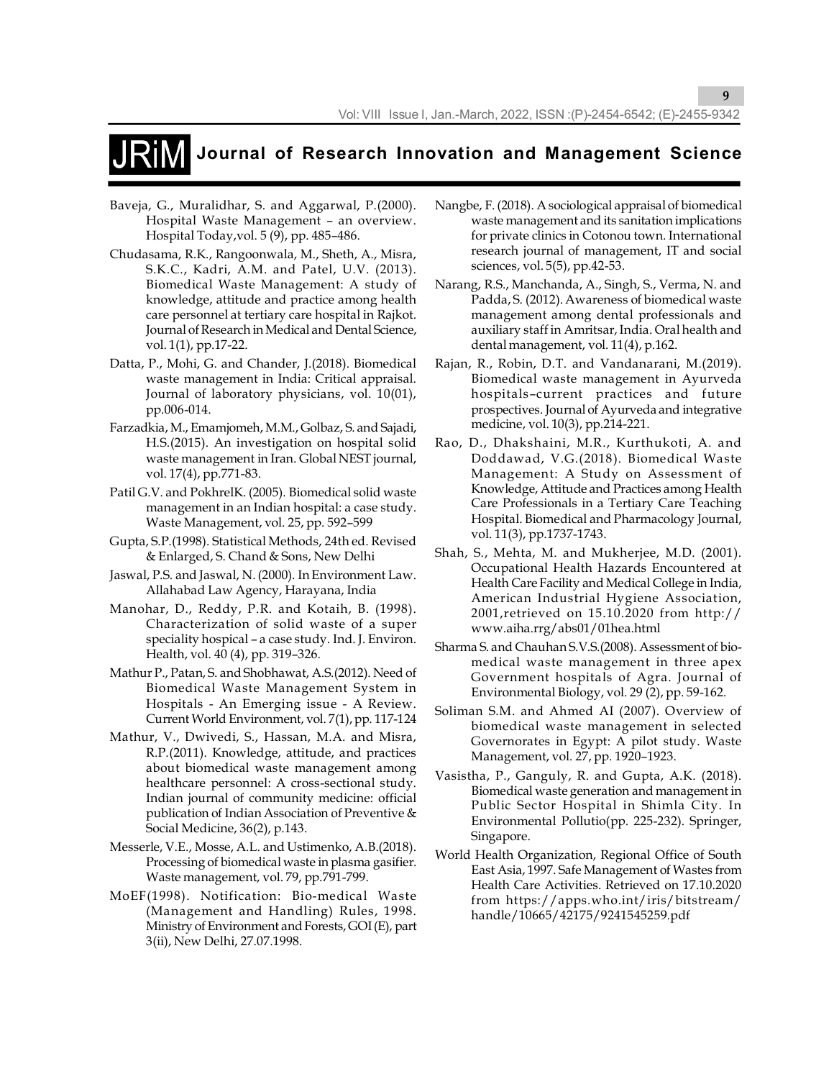- Baveja, G., Muralidhar, S. and Aggarwal, P.(2000). Hospital Waste Management – an overview. Hospital Today,vol. 5 (9), pp. 485–486.
- Chudasama, R.K., Rangoonwala, M., Sheth, A., Misra, S.K.C., Kadri, A.M. and Patel, U.V. (2013). Biomedical Waste Management: A study of knowledge, attitude and practice among health care personnel at tertiary care hospital in Rajkot. Journal of Research in Medical and Dental Science, vol. 1(1), pp.17-22.
- Datta, P., Mohi, G. and Chander, J.(2018). Biomedical waste management in India: Critical appraisal. Journal of laboratory physicians, vol. 10(01), pp.006-014.
- Farzadkia, M., Emamjomeh, M.M., Golbaz, S. and Sajadi, H.S.(2015). An investigation on hospital solid waste management in Iran. Global NEST journal, vol. 17(4), pp.771-83.
- Patil G.V. and PokhrelK. (2005). Biomedical solid waste management in an Indian hospital: a case study. Waste Management, vol. 25, pp. 592–599
- Gupta, S.P.(1998). Statistical Methods, 24th ed. Revised & Enlarged, S. Chand & Sons, New Delhi
- Jaswal, P.S. and Jaswal, N. (2000). In Environment Law. Allahabad Law Agency, Harayana, India
- Manohar, D., Reddy, P.R. and Kotaih, B. (1998). Characterization of solid waste of a super speciality hospical – a case study. Ind. J. Environ. Health, vol. 40 (4), pp. 319–326.
- Mathur P., Patan, S. and Shobhawat, A.S.(2012). Need of Biomedical Waste Management System in Hospitals - An Emerging issue - A Review. Current World Environment, vol. 7(1), pp. 117-124
- Mathur, V., Dwivedi, S., Hassan, M.A. and Misra, R.P.(2011). Knowledge, attitude, and practices about biomedical waste management among healthcare personnel: A cross-sectional study. Indian journal of community medicine: official publication of Indian Association of Preventive & Social Medicine, 36(2), p.143.
- Messerle, V.E., Mosse, A.L. and Ustimenko, A.B.(2018). Processing of biomedical waste in plasma gasifier. Waste management, vol. 79, pp.791-799.
- MoEF(1998). Notification: Bio-medical Waste (Management and Handling) Rules, 1998. Ministry of Environment and Forests, GOI (E), part 3(ii), New Delhi, 27.07.1998.

Nangbe, F. (2018). A sociological appraisal of biomedical waste management and its sanitation implications for private clinics in Cotonou town. International research journal of management, IT and social sciences, vol. 5(5), pp.42-53.

**9**

- Narang, R.S., Manchanda, A., Singh, S., Verma, N. and Padda, S. (2012). Awareness of biomedical waste management among dental professionals and auxiliary staff in Amritsar, India. Oral health and dental management, vol. 11(4), p.162.
- Rajan, R., Robin, D.T. and Vandanarani, M.(2019). Biomedical waste management in Ayurveda hospitals–current practices and future prospectives. Journal of Ayurveda and integrative medicine, vol. 10(3), pp.214-221.
- Rao, D., Dhakshaini, M.R., Kurthukoti, A. and Doddawad, V.G.(2018). Biomedical Waste Management: A Study on Assessment of Knowledge, Attitude and Practices among Health Care Professionals in a Tertiary Care Teaching Hospital. Biomedical and Pharmacology Journal, vol. 11(3), pp.1737-1743.
- Shah, S., Mehta, M. and Mukherjee, M.D. (2001). Occupational Health Hazards Encountered at Health Care Facility and Medical College in India, American Industrial Hygiene Association, 2001,retrieved on 15.10.2020 from http:// www.aiha.rrg/abs01/01hea.html
- Sharma S. and Chauhan S.V.S.(2008). Assessment of biomedical waste management in three apex Government hospitals of Agra. Journal of Environmental Biology, vol. 29 (2), pp. 59-162.
- Soliman S.M. and Ahmed AI (2007). Overview of biomedical waste management in selected Governorates in Egypt: A pilot study. Waste Management, vol. 27, pp. 1920–1923.
- Vasistha, P., Ganguly, R. and Gupta, A.K. (2018). Biomedical waste generation and management in Public Sector Hospital in Shimla City. In Environmental Pollutio(pp. 225-232). Springer, Singapore.
- World Health Organization, Regional Office of South East Asia, 1997. Safe Management of Wastes from Health Care Activities. Retrieved on 17.10.2020 from https://apps.who.int/iris/bitstream/ handle/10665/42175/9241545259.pdf